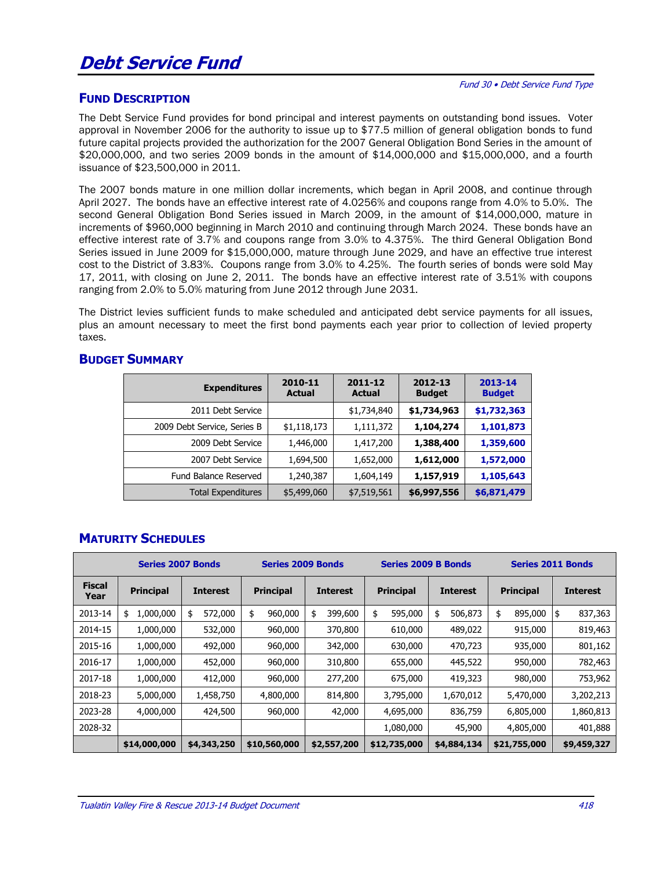# **Debt Service Fund**

## **FUND DESCRIPTION**

The Debt Service Fund provides for bond principal and interest payments on outstanding bond issues. Voter approval in November 2006 for the authority to issue up to \$77.5 million of general obligation bonds to fund future capital projects provided the authorization for the 2007 General Obligation Bond Series in the amount of \$20,000,000, and two series 2009 bonds in the amount of \$14,000,000 and \$15,000,000, and a fourth issuance of \$23,500,000 in 2011.

The 2007 bonds mature in one million dollar increments, which began in April 2008, and continue through April 2027. The bonds have an effective interest rate of 4.0256% and coupons range from 4.0% to 5.0%. The second General Obligation Bond Series issued in March 2009, in the amount of \$14,000,000, mature in increments of \$960,000 beginning in March 2010 and continuing through March 2024. These bonds have an effective interest rate of 3.7% and coupons range from 3.0% to 4.375%. The third General Obligation Bond Series issued in June 2009 for \$15,000,000, mature through June 2029, and have an effective true interest cost to the District of 3.83%. Coupons range from 3.0% to 4.25%. The fourth series of bonds were sold May 17, 2011, with closing on June 2, 2011. The bonds have an effective interest rate of 3.51% with coupons ranging from 2.0% to 5.0% maturing from June 2012 through June 2031.

The District levies sufficient funds to make scheduled and anticipated debt service payments for all issues, plus an amount necessary to meet the first bond payments each year prior to collection of levied property taxes.

#### **BUDGET SUMMARY**

| <b>Expenditures</b>         | 2010-11<br><b>Actual</b> | 2011-12<br><b>Actual</b> | 2012-13<br><b>Budget</b> | 2013-14<br><b>Budget</b> |  |
|-----------------------------|--------------------------|--------------------------|--------------------------|--------------------------|--|
| 2011 Debt Service           |                          | \$1,734,840              | \$1,734,963              | \$1,732,363              |  |
| 2009 Debt Service, Series B | \$1,118,173              | 1,111,372                | 1,104,274                | 1,101,873                |  |
| 2009 Debt Service           | 1,446,000                | 1,417,200                | 1,388,400                | 1,359,600                |  |
| 2007 Debt Service           | 1,694,500                | 1,652,000                | 1,612,000                | 1,572,000                |  |
| Fund Balance Reserved       | 1,240,387                | 1,604,149                | 1,157,919                | 1,105,643                |  |
| <b>Total Expenditures</b>   | \$5,499,060              | \$7,519,561              | \$6,997,556              | \$6,871,479              |  |

## **MATURITY SCHEDULES**

|                       | <b>Series 2007 Bonds</b> |                 | <b>Series 2009 Bonds</b> |                 | <b>Series 2009 B Bonds</b> |                 | <b>Series 2011 Bonds</b> |                 |  |
|-----------------------|--------------------------|-----------------|--------------------------|-----------------|----------------------------|-----------------|--------------------------|-----------------|--|
| <b>Fiscal</b><br>Year | <b>Principal</b>         | <b>Interest</b> | <b>Principal</b>         | <b>Interest</b> | <b>Principal</b>           | <b>Interest</b> | <b>Principal</b>         | <b>Interest</b> |  |
| 2013-14               | 1,000,000<br>\$          | 572,000<br>\$   | \$<br>960,000            | 399,600<br>\$   | \$<br>595,000              | 506,873<br>\$   | \$<br>895,000            | 837,363<br>\$   |  |
| 2014-15               | 1,000,000                | 532,000         | 960,000                  | 370,800         | 610,000                    | 489,022         | 915,000                  | 819,463         |  |
| 2015-16               | 1,000,000                | 492,000         | 960,000                  | 342,000         | 630,000                    | 470,723         | 935,000                  | 801,162         |  |
| 2016-17               | 1,000,000                | 452,000         | 960,000                  | 310,800         | 655,000                    | 445,522         | 950,000                  | 782,463         |  |
| 2017-18               | 1,000,000                | 412,000         | 960,000                  | 277,200         | 675,000                    | 419,323         | 980,000                  | 753,962         |  |
| 2018-23               | 5,000,000                | 1,458,750       | 4,800,000                | 814,800         | 3,795,000                  | 1,670,012       | 5,470,000                | 3,202,213       |  |
| 2023-28               | 4,000,000                | 424,500         | 960,000                  | 42,000          | 4,695,000                  | 836,759         | 6,805,000                | 1,860,813       |  |
| 2028-32               |                          |                 |                          |                 | 1,080,000                  | 45,900          | 4,805,000                | 401,888         |  |
|                       | \$14,000,000             | \$4,343,250     | \$10,560,000             | \$2,557,200     | \$12,735,000               | \$4,884,134     | \$21,755,000             | \$9,459,327     |  |